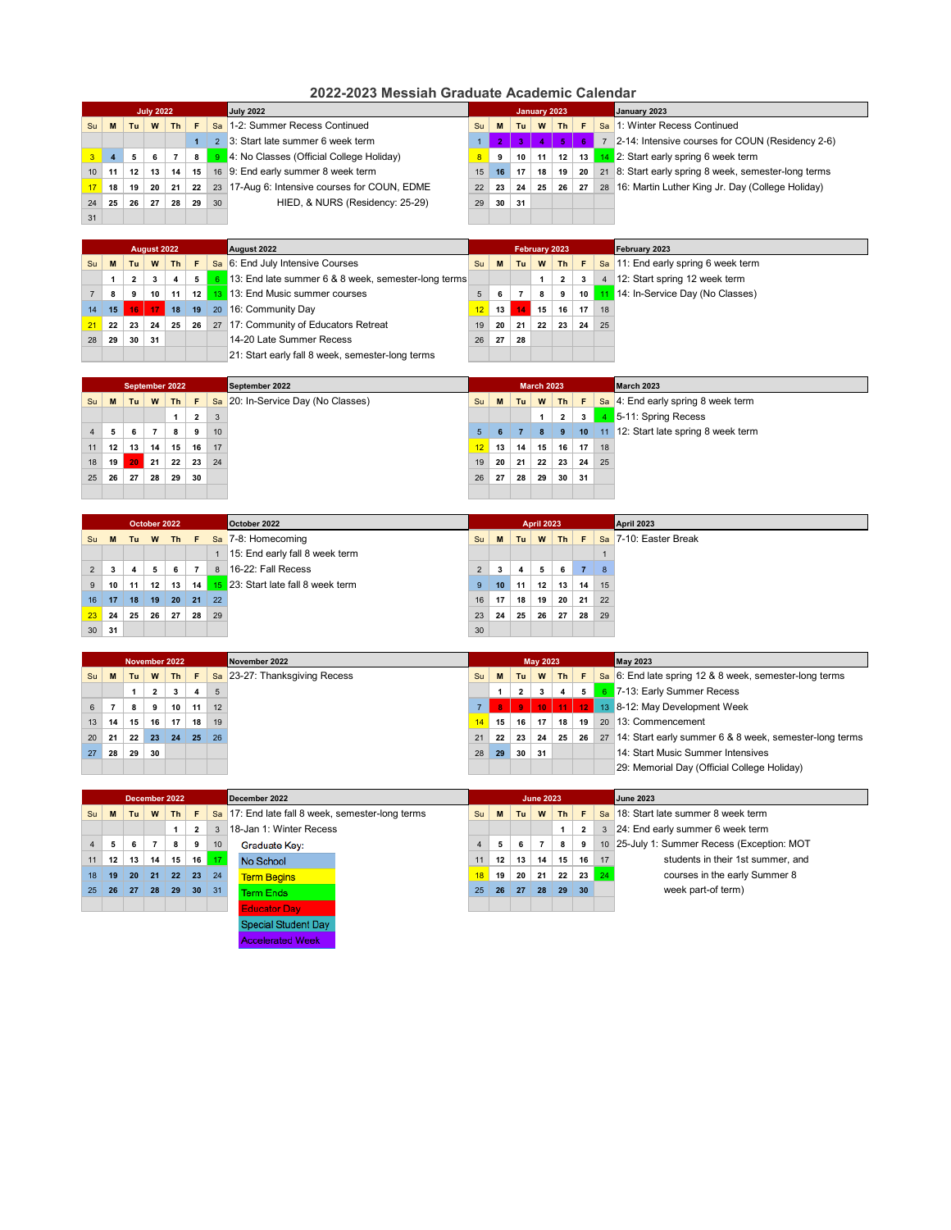|                 | <b>July 2022</b><br><b>July 2022</b><br>January 2023 |    |    |    |              |                |                                               |           | January 2023    |     |    |    |    |    |                                                   |
|-----------------|------------------------------------------------------|----|----|----|--------------|----------------|-----------------------------------------------|-----------|-----------------|-----|----|----|----|----|---------------------------------------------------|
| Su              | M                                                    | Tu | W  | Th | $\mathbf{F}$ |                | Sa 1-2: Summer Recess Continued               | <b>Su</b> | M               | Tu. | W  | Th | F. |    | Sa 1: Winter Recess Continued                     |
|                 |                                                      |    |    |    |              | $\overline{2}$ | 3: Start late summer 6 week term              | . I       |                 |     |    |    |    |    | 2-14: Intensive courses for COUN (Residency 2-6)  |
|                 | 4                                                    | 5  | 6  |    | 8            |                | 9 4: No Classes (Official College Holiday)    |           | 9               | 10  | 11 | 12 | 13 |    | 14 2: Start early spring 6 week term              |
| 10 <sup>1</sup> | 11                                                   | 12 | 13 | 14 | 15           |                | 16 9: End early summer 8 week term            | 15        | 16              | 17  | 18 | 19 | 20 | 21 | 8: Start early spring 8 week, semester-long terms |
| 17              | 18                                                   | 19 | 20 | 21 | 22           |                | 23 17-Aug 6: Intensive courses for COUN, EDME | 22        | 23              | 24  | 25 | 26 | 27 | 28 | 16: Martin Luther King Jr. Day (College Holiday)  |
| 24              | 25                                                   | 26 | 27 | 28 | 29           | 30             | HIED, & NURS (Residency: 25-29)               | 29        | 30 <sup>°</sup> | 31  |    |    |    |    |                                                   |
| 31              |                                                      |    |    |    |              |                |                                               |           |                 |     |    |    |    |    |                                                   |

|    | August 2022<br>August 2022 |                 |                 |                 |                |  |                                                       |    |      |    |                 | <b>February 2023</b> |                 | February 2023  |                                     |
|----|----------------------------|-----------------|-----------------|-----------------|----------------|--|-------------------------------------------------------|----|------|----|-----------------|----------------------|-----------------|----------------|-------------------------------------|
| Su | M                          | Tu              | W               | $Th$ $F$        |                |  | Sa 6: End July Intensive Courses                      | Su | M    | Tu | W               |                      | $Th$ $F$        |                | Sa 11: End early spring 6 week term |
|    |                            | $2^{\circ}$     | $3^{\circ}$     | $\overline{4}$  | 5 <sup>1</sup> |  | 6 13: End late summer 6 & 8 week, semester-long terms |    |      |    |                 | $\mathbf{2}$         | 3               | $\overline{4}$ | 12: Start spring 12 week term       |
|    | 8                          | 9               | 10 <sup>1</sup> | 11 <sup>1</sup> |                |  | 12 13 13: End Music summer courses                    |    |      |    | 8               | 9                    | 10 <sup>1</sup> |                | 11 14: In-Service Day (No Classes)  |
| 14 | 15 <sup>1</sup>            |                 |                 |                 |                |  | <b>16</b> 17 18 19 20 16: Community Day               | 12 | $13$ |    | 15 <sup>1</sup> | 16                   | 17              | 18             |                                     |
| 21 | 22                         | 23 <sup>1</sup> | 24              | $25 \mid$       | 26             |  | 27 17: Community of Educators Retreat                 | 19 | 20   | 21 | 22 <sub>1</sub> | 23                   | 24              | 25             |                                     |
| 28 | 29                         | 30              | -31             |                 |                |  | 14-20 Late Summer Recess                              | 26 | 27   | 28 |                 |                      |                 |                |                                     |
|    |                            |                 |                 |                 |                |  | 21: Start early fall 8 week, semester-long terms      |    |      |    |                 |                      |                 |                |                                     |

|                |    | September 2022 |                |    |                |    | September 2022                     |                |                 |    | <b>March 2023</b> |                 |    |    | March 2023                                         |
|----------------|----|----------------|----------------|----|----------------|----|------------------------------------|----------------|-----------------|----|-------------------|-----------------|----|----|----------------------------------------------------|
| Su             | M  | Tu             | W              | Th | F              |    | Sa 20: In-Service Day (No Classes) | Su             | M               | Tu | W                 | $Th$ $F$        |    |    | $\frac{1}{2}$ Sa   4: End early spring 8 week term |
|                |    |                |                |    | $\overline{2}$ | 3  |                                    |                |                 |    | $\mathbf 1$       | $\mathbf{2}$    | 3  |    | 5-11: Spring Recess                                |
| $\overline{4}$ | 5  | 6              | $\overline{7}$ | 8  | 9              | 10 |                                    | 5 <sup>5</sup> |                 |    | 8                 | 9               | 10 |    | 11 12: Start late spring 8 week term               |
| 11             | 12 | 13             | 14             | 15 | 16             | 17 |                                    | 12             | 13 <sub>1</sub> | 14 | 15                | 16              | 17 | 18 |                                                    |
| 18             | 19 | 20             | 21             | 22 | 23             | 24 |                                    | 19             | 20              | 21 | 22                | 23              | 24 | 25 |                                                    |
| 25             | 26 | 27             | 28             | 29 | 30             |    |                                    | 26             | 27              | 28 | 29                | 30 <sup>1</sup> | 31 |    |                                                    |
|                |    |                |                |    |                |    |                                    |                |                 |    |                   |                 |    |    |                                                    |

|                 | October 2022 |    |    |                 |                |                   | October 2022                          |                | <b>April 2023</b> |    |    |                 |                 |    | April 2023            |
|-----------------|--------------|----|----|-----------------|----------------|-------------------|---------------------------------------|----------------|-------------------|----|----|-----------------|-----------------|----|-----------------------|
|                 |              |    |    |                 |                |                   | Su M Tu W Th F Sa 7-8: Homecoming     | Su             | M                 | Tu | W  | $Th$ $F$        |                 |    | Sa 7-10: Easter Break |
|                 |              |    |    |                 |                |                   | 15: End early fall 8 week term        |                |                   |    |    |                 |                 |    |                       |
| $\overline{2}$  | 3            | 4  | 5  | 6               | $\overline{7}$ | 8 <sup>1</sup>    | 16-22: Fall Recess                    | $\overline{2}$ |                   | 4  | 5  | 6               | 7               | 8  |                       |
| 9               | 10           | 11 | 12 | 13              |                |                   | 14 15 23: Start late fall 8 week term | 9              | 10 <sup>1</sup>   | 11 | 12 | 13 <sub>1</sub> | 14 <sub>1</sub> | 15 |                       |
| 16              | 17           | 18 | 19 | 20 <sup>°</sup> |                | $21 \mid 22 \mid$ |                                       | 16             | 17                | 18 | 19 | 20              | 21              | 22 |                       |
| 23              | 24           | 25 | 26 | 27              | 28             | 29                |                                       | 23             | 24                | 25 | 26 | 27              | 28              | 29 |                       |
| 30 <sup>°</sup> | 31           |    |    |                 |                |                   |                                       | 30             |                   |    |    |                 |                 |    |                       |

|    | November 2022 |    |                 |    |                 |    | November 2022                 |                | <b>May 2023</b> |              |    |           |                  |    | <b>May 2023</b>                                                   |
|----|---------------|----|-----------------|----|-----------------|----|-------------------------------|----------------|-----------------|--------------|----|-----------|------------------|----|-------------------------------------------------------------------|
| Su | M             | Tu | W               | Th | F.              |    | Sa 23-27: Thanksgiving Recess | Su             | M               | Tu.          | W  | $Th$ $F$  |                  |    | $\frac{1}{2}$ 6: End late spring 12 & 8 week, semester-long terms |
|    |               |    | $\overline{2}$  | 3  | 4               | 5  |                               |                |                 | $\mathbf{2}$ | 3  | 4         | 5 <sub>1</sub>   |    | 6 7-13: Early Summer Recess                                       |
| 6  |               | 8  | 9               | 10 | 11              | 12 |                               | 7 <sup>1</sup> |                 |              |    | $10$   11 | 12 <sub>12</sub> |    | 13 8-12: May Development Week                                     |
| 13 | 14            | 15 | 16              | 17 | 18              | 19 |                               |                | 15              | 16           | 17 | 18        | 19               | 20 | 13: Commencement                                                  |
| 20 | 21            | 22 | 23 <sup>°</sup> | 24 | 25 <sub>l</sub> | 26 |                               | 21             | 22              | 23           | 24 | 25        | 26               | 27 | 14: Start early summer 6 & 8 week, semester-long terms            |
| 27 | 28            | 29 | 30              |    |                 |    |                               | 28             | 29              | 30           | 31 |           |                  |    | 14: Start Music Summer Intensives                                 |
|    |               |    |                 |    |                 |    |                               |                |                 |              |    |           |                  |    | 29: Memorial Day (Official College Holiday)                       |

| December 2022<br>December 2022 |    |    |                |                 |              |                 |                                                                | <b>June 2023</b> |                 |     |    |    |                 |                   | <b>June 2023</b>                         |
|--------------------------------|----|----|----------------|-----------------|--------------|-----------------|----------------------------------------------------------------|------------------|-----------------|-----|----|----|-----------------|-------------------|------------------------------------------|
| Su                             | M  | Tu | W              | <b>Th</b>       | F            |                 | $\frac{1}{2}$ Sa 17: End late fall 8 week, semester-long terms | Su               | M               | Tu. | W  | Th | E               |                   | sa 18: Start late summer 8 week term     |
|                                |    |    |                |                 | $\mathbf{2}$ | 3               | 18-Jan 1: Winter Recess                                        |                  |                 |     |    |    | $\mathbf{2}$    | 3                 | 24: End early summer 6 week term         |
| $\overline{4}$                 | 5  | 6  | $\overline{7}$ | 8               | 9            | 10 <sup>°</sup> | Graduate Key:                                                  |                  |                 | 6   |    | 8  | 9               | 10 <sup>1</sup>   | 25-July 1: Summer Recess (Exception: MOT |
| 11                             | 12 | 13 | 14             | 15              |              | $16$ 17         | No School                                                      | 11               | 12 <sub>1</sub> | 13  | 14 | 15 | 16              | 17                | students in their 1st summer, and        |
| 18                             | 19 | 20 | 21             | 22 <sub>2</sub> |              | $23 \mid 24$    | <b>Term Begins</b>                                             | 18               | 19              | 20  | 21 | 22 |                 | $23 \mid 24 \mid$ | courses in the early Summer 8            |
| 25                             | 26 | 27 | 28             | 29              | 30           | 31              | <b>Term Ends</b>                                               | 25               | <b>26</b>       | 27  | 28 | 29 | 30 <sup>°</sup> |                   | week part-of term)                       |
|                                |    |    |                |                 |              |                 | <b>Educator Day</b>                                            |                  |                 |     |    |    |                 |                   |                                          |



# **2022-2023 Messiah Graduate Academic Calendar**